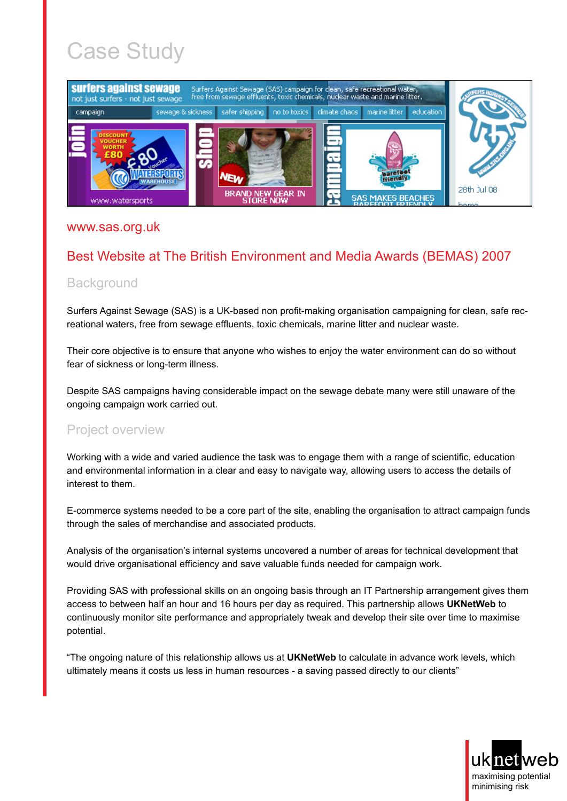# Case Study



#### [www.sas.org.uk](http://www.sas.org.uk/)

## Best Website at The British Environment and Media Awards (BEMAS) 2007

### **Background**

Surfers Against Sewage (SAS) is a UK-based non profit-making organisation campaigning for clean, safe recreational waters, free from sewage effluents, toxic chemicals, marine litter and nuclear waste.

Their core objective is to ensure that anyone who wishes to enjoy the water environment can do so without fear of sickness or long-term illness.

Despite SAS campaigns having considerable impact on the sewage debate many were still unaware of the ongoing campaign work carried out.

### Project overview

Working with a wide and varied audience the task was to engage them with a range of scientific, education and environmental information in a clear and easy to navigate way, allowing users to access the details of interest to them.

E-commerce systems needed to be a core part of the site, enabling the organisation to attract campaign funds through the sales of merchandise and associated products.

Analysis of the organisation's internal systems uncovered a number of areas for technical development that would drive organisational efficiency and save valuable funds needed for campaign work.

Providing SAS with professional skills on an ongoing basis through an IT Partnership arrangement gives them access to between half an hour and 16 hours per day as required. This partnership allows **UKNetWeb** to continuously monitor site performance and appropriately tweak and develop their site over time to maximise potential.

"The ongoing nature of this relationship allows us at **UKNetWeb** to calculate in advance work levels, which ultimately means it costs us less in human resources - a saving passed directly to our clients"